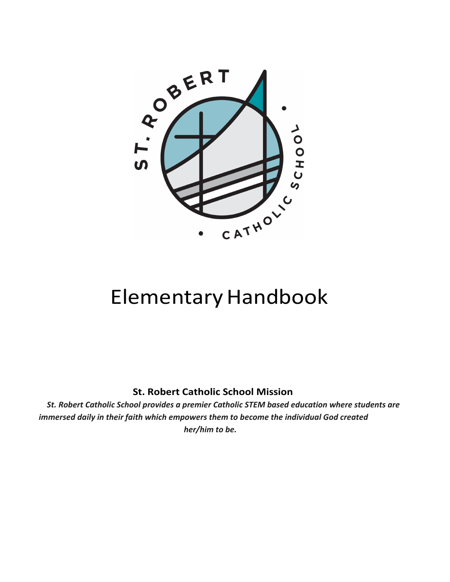

# **Elementary Handbook**

**St. Robert Catholic School Mission**

*St. Robert Catholic School provides a premier Catholic STEM based education where students are immersed daily in their faith which empowers them to become the individual God created her/him to be.*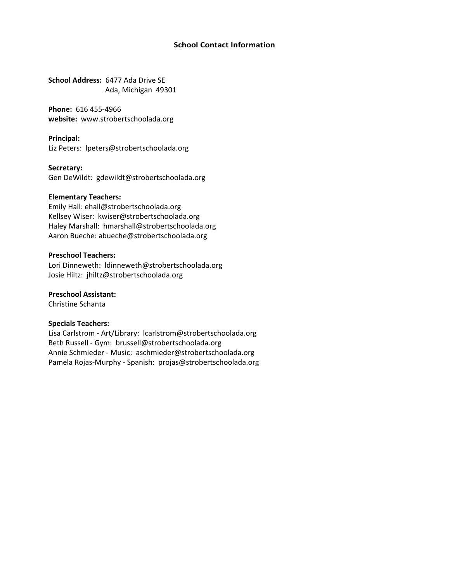#### **School Contact Information**

**School Address:** 6477 Ada Drive SE Ada, Michigan 49301

**Phone:** [616 455-4966](http://www.strobertschoolada.org/) **website:** www.strobertschoolada.org

**Principal:** Liz Peter[s: lpeters@strobertschoolada.org](mailto:lpeters@strobertschoolada.org)

**Secretary:**

Gen DeWild[t: gdewildt@strobertschoolada.org](mailto:gdewildt@strobertschoolada.org)

#### **Elementary Teachers:**

Emily Hall: e[hall@strobertschoolada.org](mailto:kwiser@strobertschoolada.org) Kellsey Wiser[: kwiser@strobertschoolada.org](mailto:abueche@strobertschoolada.org) Haley Marshall: hmarshall@strobertschoolada.org Aaron Bueche: abueche@strobertschoolada.org

#### **Preschool Teachers:**

Lori Dinnewet[h: ldinneweth@strobertschoolada.org](mailto:ldinneweth@strobertschoolada.org) Josie Hiltz: [jhiltz@strobertschoolada.org](mailto:ssass@strobertschoolada.org)

**Preschool Assistant:**

Christine Schan[ta](mailto:tgordon@strobertschoolada.org)

#### **Specials Teachers:**

Lisa Carlstro[m - Art/Library: lcarlstrom@stroberts](mailto:tverduin@strobertschoolada.org)choolada.org Beth Russell - Gym: brussell@strobertschoolada.org Annie Schmieder - Music: aschmieder@strobertschoolada.org Pamela Rojas-Murp[hy - S](mailto:brussell@strobertschoolada.org)[panish: projas@strobertschoolada.org](mailto:tverduin@strobertschoolada.org)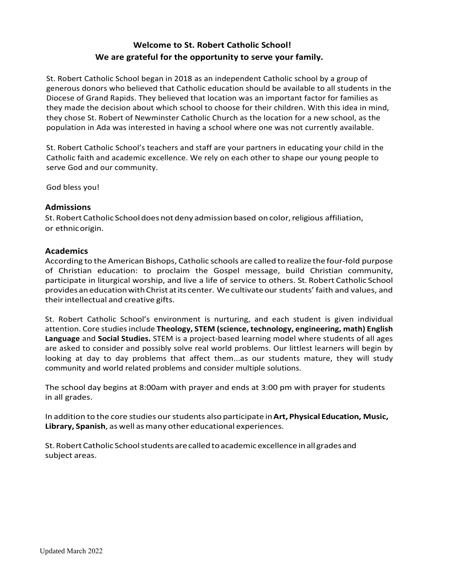# **Welcome to St. Robert Catholic School! We are grateful for the opportunity to serve your family.**

St. Robert Catholic School began in 2018 as an independent Catholic school by a group of generous donors who believed that Catholic education should be available to all students in the Diocese of Grand Rapids. They believed that location was an important factor for families as they made the decision about which school to choose for their children. With this idea in mind, they chose St. Robert of Newminster Catholic Church as the location for a new school, as the population in Ada was interested in having a school where one was not currently available.

St. Robert Catholic School's teachers and staff are your partners in educating your child in the Catholic faith and academic excellence. We rely on each other to shape our young people to serve God and our community.

God bless you!

#### **Admissions**

St.Robert Catholic School doesnot deny admissionbased oncolor,religious affiliation, or ethnicorigin.

#### **Academics**

According to the American Bishops, Catholic schools are called torealize the four-fold purpose of Christian education: to proclaim the Gospel message, build Christian community, participate in liturgical worship, and live a life of service to others. St. Robert Catholic School provides aneducationwithChrist atits center. We cultivateour students' faith and values, and their intellectual and creative gifts.

St. Robert Catholic School's environment is nurturing, and each student is given individual attention. Core studies include **Theology, STEM (science, technology, engineering, math) English Language** and **Social Studies.** STEM is a project-based learning model where students of all ages are asked to consider and possibly solve real world problems. Our littlest learners will begin by looking at day to day problems that affect them...as our students mature, they will study community and world related problems and consider multiple solutions.

The school day begins at 8:00am with prayer and ends at 3:00 pm with prayer for students in all grades.

In addition to the core studies ourstudents also participate in**Art,Physical Education, Music, Library, Spanish**, as well asmany other educational experiences.

St. Robert Catholic School students are called to academic excellence in all grades and subject areas.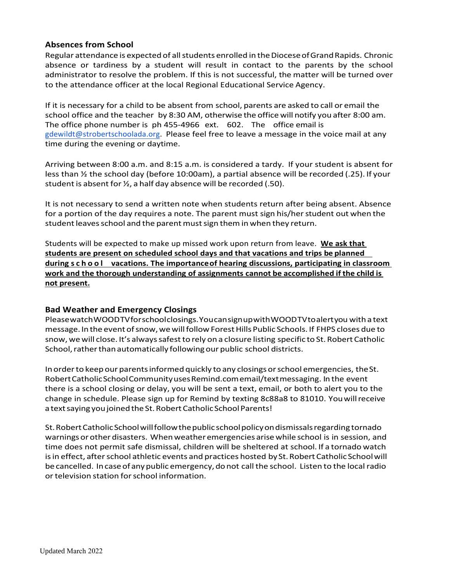# **Absences from School**

Regular attendance is expected of all students enrolled in the Diocese of Grand Rapids. Chronic absence or tardiness by a student will result in contact to the parents by the school administrator to resolve the problem. If this is not successful, the matter will be turned over to the attendance officer at the local Regional Educational Service Agency.

If it is necessary for a child to be absent from school, parents are asked to call or email the school office and the teacher by 8:30 AM, otherwise the office will notify you after 8:00 am. The office phone number is ph 455-4966 ext. 602. The office email is gdewildt@strobertschoolada.org. Please feel free to leave a message in the voice mail at any time during the evening or daytime.

Arriving between 8:00 a.m. and 8:15 a.m. is considered a tardy. If your student is absent for less than ½ the school day (before 10:00am), a partial absence will be recorded (.25). If your student is absent for ½, a half day absence will be recorded (.50).

It is not necessary to send a written note when students return after being absent. Absence for a portion of the day requires a note. The parent must sign his/her student out when the student leaves school and the parent must sign them in when they return.

Students will be expected to make up missed work upon return from leave. **We ask that students are present on scheduled school days and that vacations and trips be planned during school vacations. The importanceof hearing discussions, participating in classroom work and the thorough understanding of assignments cannot be accomplished if the child is not present.**

# **Bad Weather and Emergency Closings**

PleasewatchWOODTVforschoolclosings.YoucansignupwithWOODTVtoalertyou with a text message. Inthe eventofsnow,wewillfollowForestHills Public Schools. If FHPS closes due to snow, we will close. It's always safest to rely on a closure listing specific to St. Robert Catholic School, rather than automatically following our public school districts.

Inorderto keep our parentsinformed quickly to any closingsorschool emergencies, theSt. RobertCatholicSchoolCommunityusesRemind.comemail/textmessaging. In the event there is a school closing or delay, you will be sent a text, email, or both to alert you to the change in schedule. Please sign up for Remind by texting 8c88a8 to 81010. Youwillreceive a text saying you joined the St. Robert Catholic School Parents!

St.RobertCatholicSchoolwillfollowthepublic schoolpolicyondismissalsregarding tornado warnings or other disasters. When weather emergencies arise while school is in session, and time does not permit safe dismissal, children will be sheltered at school. If a tornado watch is in effect, after school athletic events and practices hosted by St. Robert Catholic School will be cancelled. In case of any public emergency, do not call the school. Listen to the local radio ortelevision station forschool information.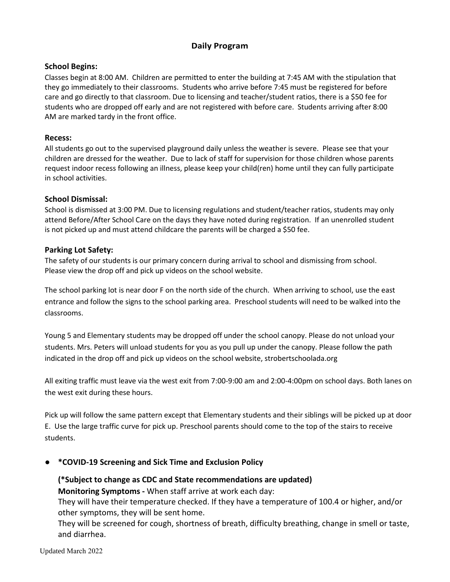# **Daily Program**

# **School Begins:**

Classes begin at 8:00 AM. Children are permitted to enter the building at 7:45 AM with the stipulation that they go immediately to their classrooms. Students who arrive before 7:45 must be registered for before care and go directly to that classroom. Due to licensing and teacher/student ratios, there is a \$50 fee for students who are dropped off early and are not registered with before care. Students arriving after 8:00 AM are marked tardy in the front office.

#### **Recess:**

All students go out to the supervised playground daily unless the weather is severe. Please see that your children are dressed for the weather. Due to lack of staff for supervision for those children whose parents request indoor recess following an illness, please keep your child(ren) home until they can fully participate in school activities.

#### **School Dismissal:**

School is dismissed at 3:00 PM. Due to licensing regulations and student/teacher ratios, students may only attend Before/After School Care on the days they have noted during registration. If an unenrolled student is not picked up and must attend childcare the parents will be charged a \$50 fee.

# **Parking Lot Safety:**

The safety of our students is our primary concern during arrival to school and dismissing from school. Please view the drop off and pick up videos on the school website.

The school parking lot is near door F on the north side of the church. When arriving to school, use the east entrance and follow the signs to the school parking area. Preschool students will need to be walked into the classrooms.

Young 5 and Elementary students may be dropped off under the school canopy. Please do not unload your students. Mrs. Peters will unload students for you as you pull up under the canopy. Please follow the path indicated in the drop off and pick up videos on the school website, strobertschoolada.org

All exiting traffic must leave via the west exit from 7:00-9:00 am and 2:00-4:00pm on school days. Both lanes on the west exit during these hours.

Pick up will follow the same pattern except that Elementary students and their siblings will be picked up at door E. Use the large traffic curve for pick up. Preschool parents should come to the top of the stairs to receive students.

# ● **\*COVID-19 Screening and Sick Time and Exclusion Policy**

# **(\*Subject to change as CDC and State recommendations are updated)**

**Monitoring Symptoms -** When staff arrive at work each day:

They will have their temperature checked. If they have a temperature of 100.4 or higher, and/or other symptoms, they will be sent home.

They will be screened for cough, shortness of breath, difficulty breathing, change in smell or taste, and diarrhea.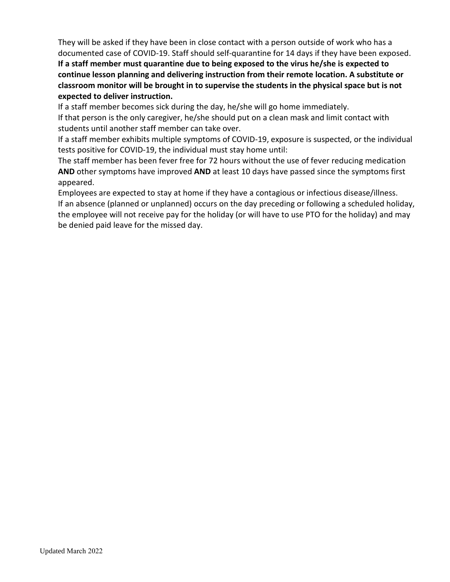They will be asked if they have been in close contact with a person outside of work who has a documented case of COVID-19. Staff should self-quarantine for 14 days if they have been exposed.

**If a staff member must quarantine due to being exposed to the virus he/she is expected to continue lesson planning and delivering instruction from their remote location. A substitute or classroom monitor will be brought in to supervise the students in the physical space but is not expected to deliver instruction.**

If a staff member becomes sick during the day, he/she will go home immediately.

If that person is the only caregiver, he/she should put on a clean mask and limit contact with students until another staff member can take over.

If a staff member exhibits multiple symptoms of COVID-19, exposure is suspected, or the individual tests positive for COVID-19, the individual must stay home until:

The staff member has been fever free for 72 hours without the use of fever reducing medication **AND** other symptoms have improved **AND** at least 10 days have passed since the symptoms first appeared.

Employees are expected to stay at home if they have a contagious or infectious disease/illness. If an absence (planned or unplanned) occurs on the day preceding or following a scheduled holiday, the employee will not receive pay for the holiday (or will have to use PTO for the holiday) and may be denied paid leave for the missed day.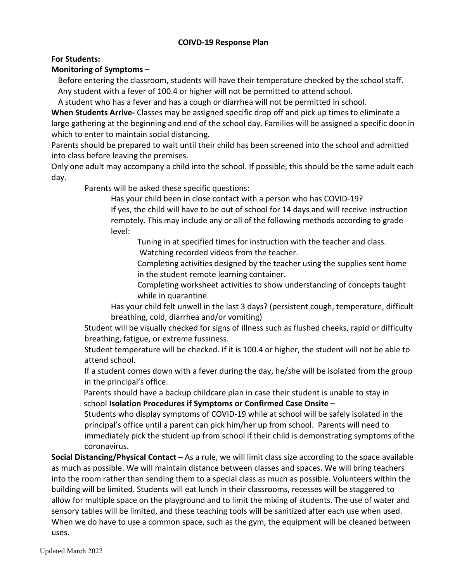# **COIVD-19 Response Plan**

**For Students:**

# **Monitoring of Symptoms –**

Before entering the classroom, students will have their temperature checked by the school staff. Any student with a fever of 100.4 or higher will not be permitted to attend school.

A student who has a fever and has a cough or diarrhea will not be permitted in school.

**When Students Arrive-** Classes may be assigned specific drop off and pick up times to eliminate a large gathering at the beginning and end of the school day. Families will be assigned a specific door in which to enter to maintain social distancing.

Parents should be prepared to wait until their child has been screened into the school and admitted into class before leaving the premises.

Only one adult may accompany a child into the school. If possible, this should be the same adult each day.

Parents will be asked these specific questions:

Has your child been in close contact with a person who has COVID-19?

If yes, the child will have to be out of school for 14 days and will receive instruction remotely. This may include any or all of the following methods according to grade level:

Tuning in at specified times for instruction with the teacher and class. Watching recorded videos from the teacher.

Completing activities designed by the teacher using the supplies sent home in the student remote learning container.

Completing worksheet activities to show understanding of concepts taught while in quarantine.

Has your child felt unwell in the last 3 days? (persistent cough, temperature, difficult breathing, cold, diarrhea and/or vomiting)

Student will be visually checked for signs of illness such as flushed cheeks, rapid or difficulty breathing, fatigue, or extreme fussiness.

Student temperature will be checked. If it is 100.4 or higher, the student will not be able to attend school.

If a student comes down with a fever during the day, he/she will be isolated from the group in the principal's office.

Parents should have a backup childcare plan in case their student is unable to stay in school **Isolation Procedures if Symptoms or Confirmed Case Onsite –** 

Students who display symptoms of COVID-19 while at school will be safely isolated in the principal's office until a parent can pick him/her up from school. Parents will need to immediately pick the student up from school if their child is demonstrating symptoms of the coronavirus.

**Social Distancing/Physical Contact –** As a rule, we will limit class size according to the space available as much as possible. We will maintain distance between classes and spaces. We will bring teachers into the room rather than sending them to a special class as much as possible. Volunteers within the building will be limited. Students will eat lunch in their classrooms, recesses will be staggered to allow for multiple space on the playground and to limit the mixing of students. The use of water and sensory tables will be limited, and these teaching tools will be sanitized after each use when used. When we do have to use a common space, such as the gym, the equipment will be cleaned between uses.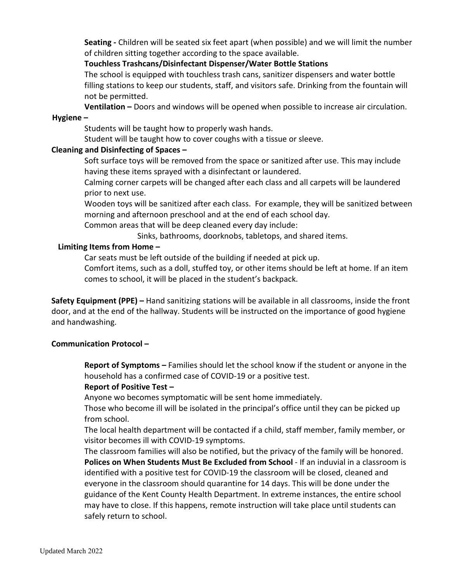**Seating -** Children will be seated six feet apart (when possible) and we will limit the number of children sitting together according to the space available.

# **Touchless Trashcans/Disinfectant Dispenser/Water Bottle Stations**

The school is equipped with touchless trash cans, sanitizer dispensers and water bottle filling stations to keep our students, staff, and visitors safe. Drinking from the fountain will not be permitted.

**Ventilation –** Doors and windows will be opened when possible to increase air circulation. **Hygiene –** 

Students will be taught how to properly wash hands.

Student will be taught how to cover coughs with a tissue or sleeve.

# **Cleaning and Disinfecting of Spaces –**

Soft surface toys will be removed from the space or sanitized after use. This may include having these items sprayed with a disinfectant or laundered.

Calming corner carpets will be changed after each class and all carpets will be laundered prior to next use.

Wooden toys will be sanitized after each class. For example, they will be sanitized between morning and afternoon preschool and at the end of each school day.

Common areas that will be deep cleaned every day include:

Sinks, bathrooms, doorknobs, tabletops, and shared items.

# **Limiting Items from Home –**

Car seats must be left outside of the building if needed at pick up.

Comfort items, such as a doll, stuffed toy, or other items should be left at home. If an item comes to school, it will be placed in the student's backpack.

**Safety Equipment (PPE) –** Hand sanitizing stations will be available in all classrooms, inside the front door, and at the end of the hallway. Students will be instructed on the importance of good hygiene and handwashing.

# **Communication Protocol –**

**Report of Symptoms –** Families should let the school know if the student or anyone in the household has a confirmed case of COVID-19 or a positive test.

# **Report of Positive Test –**

Anyone wo becomes symptomatic will be sent home immediately.

Those who become ill will be isolated in the principal's office until they can be picked up from school.

The local health department will be contacted if a child, staff member, family member, or visitor becomes ill with COVID-19 symptoms.

The classroom families will also be notified, but the privacy of the family will be honored. **Polices on When Students Must Be Excluded from School** - If an induvial in a classroom is identified with a positive test for COVID-19 the classroom will be closed, cleaned and everyone in the classroom should quarantine for 14 days. This will be done under the guidance of the Kent County Health Department. In extreme instances, the entire school may have to close. If this happens, remote instruction will take place until students can safely return to school.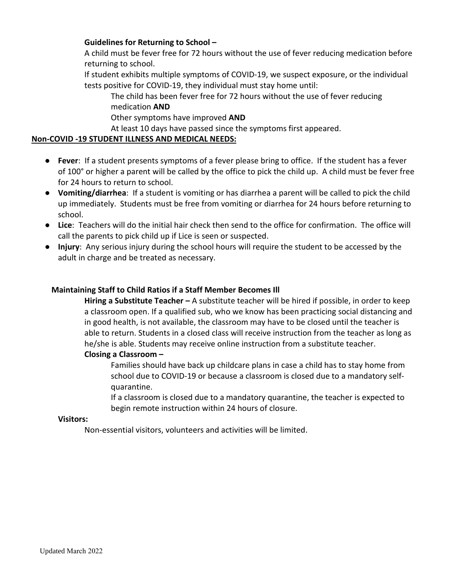# **Guidelines for Returning to School –**

A child must be fever free for 72 hours without the use of fever reducing medication before returning to school.

If student exhibits multiple symptoms of COVID-19, we suspect exposure, or the individual tests positive for COVID-19, they individual must stay home until:

The child has been fever free for 72 hours without the use of fever reducing medication **AND**

Other symptoms have improved **AND**

At least 10 days have passed since the symptoms first appeared.

# **Non-COVID -19 STUDENT ILLNESS AND MEDICAL NEEDS:**

- **Fever**: If a student presents symptoms of a fever please bring to office. If the student has a fever of 100° or higher a parent will be called by the office to pick the child up. A child must be fever free for 24 hours to return to school.
- **Vomiting/diarrhea**: If a student is vomiting or has diarrhea a parent will be called to pick the child up immediately. Students must be free from vomiting or diarrhea for 24 hours before returning to school.
- **Lice**: Teachers will do the initial hair check then send to the office for confirmation. The office will call the parents to pick child up if Lice is seen or suspected.
- **Injury**: Any serious injury during the school hours will require the student to be accessed by the adult in charge and be treated as necessary.

# **Maintaining Staff to Child Ratios if a Staff Member Becomes Ill**

**Hiring a Substitute Teacher –** A substitute teacher will be hired if possible, in order to keep a classroom open. If a qualified sub, who we know has been practicing social distancing and in good health, is not available, the classroom may have to be closed until the teacher is able to return. Students in a closed class will receive instruction from the teacher as long as he/she is able. Students may receive online instruction from a substitute teacher.

# **Closing a Classroom –**

Families should have back up childcare plans in case a child has to stay home from school due to COVID-19 or because a classroom is closed due to a mandatory selfquarantine.

If a classroom is closed due to a mandatory quarantine, the teacher is expected to begin remote instruction within 24 hours of closure.

#### **Visitors:**

Non-essential visitors, volunteers and activities will be limited.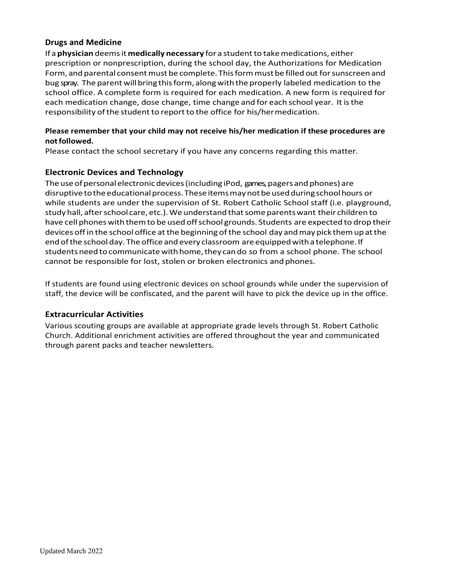# **Drugs and Medicine**

If a **physician** deemsit **medically necessary** for a studentto takemedications, either prescription or nonprescription, during the school day, the Authorizations for Medication Form, and parental consent must be complete. This form must be filled out for sunscreen and bug spray. The parent will bring this form, along with the properly labeled medication to the school office. A complete form is required for each medication. A new form is required for each medication change, dose change, time change and for each school year. Itisthe responsibility of the student to report to the office for his/hermedication.

### **Please remember that your child may not receive his/her medication if these procedures are notfollowed.**

Please contact the school secretary if you have any concerns regarding this matter.

# **Electronic Devices and Technology**

The use of personal electronic devices (including iPod, games, pagers and phones) are disruptive to the educational process. These items may not be used during school hours or while students are under the supervision of St. Robert Catholic School staff (i.e. playground, study hall, after school care, etc.). We understand that some parents want their children to have cell phones with them to be used off school grounds. Students are expected to drop their devices offin the school office atthe beginning ofthe school day andmay pick themupatthe endofthe schoolday. The office andevery classroom areequippedwith a telephone.If studentsneedtocommunicatewithhome,they cando so from a school phone. The school cannot be responsible for lost, stolen or broken electronics andphones.

If students are found using electronic devices on school grounds while under the supervision of staff, the device will be confiscated, and the parent will have to pick the device up in the office.

# **Extracurricular Activities**

Various scouting groups are available at appropriate grade levels through St. Robert Catholic Church. Additional enrichment activities are offered throughout the year and communicated through parent packs and teacher newsletters.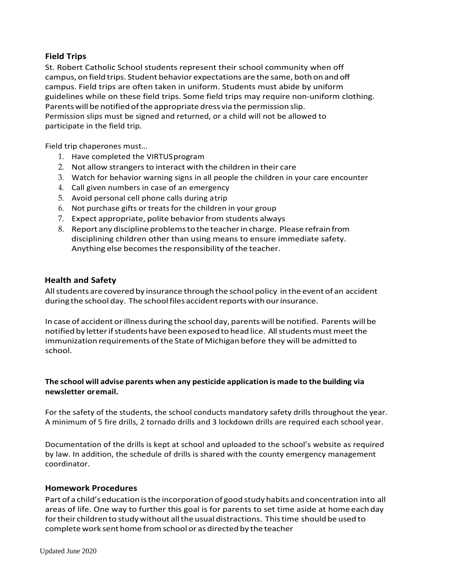# **Field Trips**

St. Robert Catholic School students represent their school community when off campus, on field trips. Student behavior expectations are the same, bothon and off campus. Field trips are often taken in uniform. Students must abide by uniform guidelines while on these field trips. Some field trips may require non-uniform clothing. Parentswill be notifiedofthe appropriate dress via the permission slip. Permission slips must be signed and returned, or a child will not be allowed to participate in the field trip.

Field trip chaperones must…

- 1. Have completed the VIRTUSprogram
- 2. Not allow strangersto interact with the children in their care
- 3. Watch for behavior warning signs in all people the children in your care encounter
- 4. Call given numbers in case of an emergency
- 5. Avoid personal cell phone calls during atrip
- 6. Not purchase gifts or treats for the children in your group
- 7. Expect appropriate, polite behavior from students always
- 8. Report any discipline problemsto the teacherin charge. Please refrain from disciplining children other than using means to ensure immediate safety. Anything else becomes the responsibility of the teacher.

#### **Health and Safety**

Allstudents are coveredby insurance through the school policy in the event of an accident during the school day. The school files accident reports with our insurance.

In case of accident orillness during the school day, parents will be notified. Parents willbe notified by letter if students have been exposed to head lice. All students must meet the immunization requirements ofthe State of Michigan before they will be admitted to school.

# **The school will advise parents when any pesticide application is made to the building via newsletter oremail.**

For the safety of the students, the school conducts mandatory safety drills throughout the year. A minimum of 5 fire drills, 2 tornado drills and 3 lockdown drills are required each school year.

Documentation of the drills is kept at school and uploaded to the school's website as required by law. In addition, the schedule of drills is shared with the county emergency management coordinator.

# **Homework Procedures**

Part of a child's education isthe incorporationof good study habits and concentration into all areas of life. One way to further this goal is for parents to set time aside at home eachday for their children to study without all the usual distractions. This time should be used to complete work sent home from school or as directed by the teacher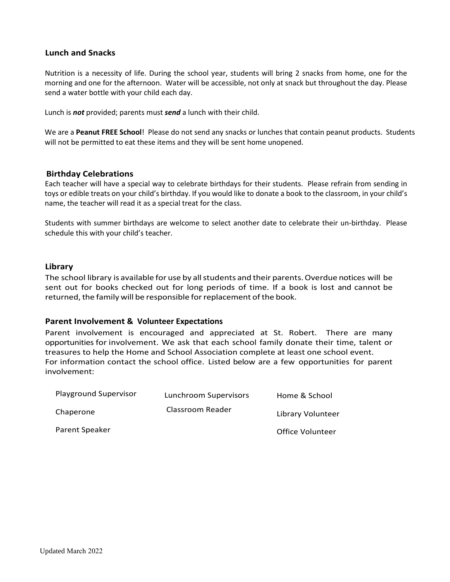#### **Lunch and Snacks**

Nutrition is a necessity of life. During the school year, students will bring 2 snacks from home, one for the morning and one for the afternoon. Water will be accessible, not only at snack but throughout the day. Please send a water bottle with your child each day.

Lunch is *not* provided; parents must *send* a lunch with their child.

We are a **Peanut FREE School**! Please do not send any snacks or lunches that contain peanut products. Students will not be permitted to eat these items and they will be sent home unopened.

#### **Birthday Celebrations**

Each teacher will have a special way to celebrate birthdays for their students. Please refrain from sending in toys or edible treats on your child's birthday. If you would like to donate a book to the classroom, in your child's name, the teacher will read it as a special treat for the class.

Students with summer birthdays are welcome to select another date to celebrate their un-birthday. Please schedule this with your child's teacher.

#### **Library**

The school library is available for use by all students and their parents. Overdue notices will be sent out for books checked out for long periods of time. If a book is lost and cannot be returned, the family will be responsible for replacement of the book.

#### **Parent Involvement & Volunteer Expectations**

Parent involvement is encouraged and appreciated at St. Robert. There are many opportunities for involvement. We ask that each school family donate their time, talent or treasures to help the Home and School Association complete at least one school event. For information contact the school office. Listed below are a few opportunities for parent involvement:

| <b>Playground Supervisor</b> | Lunchroom Supervisors | Home & School     |
|------------------------------|-----------------------|-------------------|
| Chaperone                    | Classroom Reader      | Library Volunteer |
| Parent Speaker               |                       | Office Volunteer  |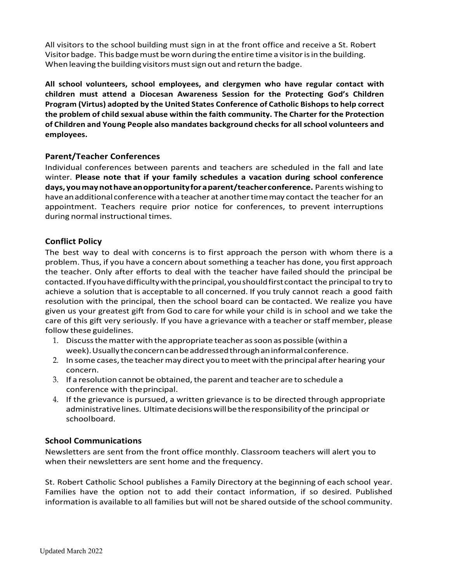All visitors to the school building must sign in at the front office and receive a St. Robert Visitor badge. This badge must be worn during the entire time a visitor is in the building. When leaving the building visitors must sign out and return the badge.

**All school volunteers, school employees, and clergymen who have regular contact with children must attend a Diocesan Awareness Session for the Protecting God's Children Program (Virtus) adopted by the United States Conference of Catholic Bishops to help correct the problem of child sexual abuse within the faith community. The Charter for the Protection of Children and Young People also mandates background checks for all school volunteers and employees.**

# **Parent/Teacher Conferences**

Individual conferences between parents and teachers are scheduled in the fall and late winter. **Please note that if your family schedules a vacation during school conference days, youmaynothaveanopportunityfor a parent/teacherconference.** Parents wishing to have anadditional conferencewith a teacher atanothertimemay contact the teacher for an appointment. Teachers require prior notice for conferences, to prevent interruptions during normal instructional times.

#### **Conflict Policy**

The best way to deal with concerns is to first approach the person with whom there is a problem. Thus, if you have a concern about something a teacher has done, you first approach the teacher. Only after efforts to deal with the teacher have failed should the principal be contacted.Ifyouhavedifficultywiththeprincipal,youshouldfirstcontact the principal to try to achieve a solution that is acceptable to all concerned. If you truly cannot reach a good faith resolution with the principal, then the school board can be contacted. We realize you have given us your greatest gift from God to care for while your child is in school and we take the care of this gift very seriously. If you have a grievance with a teacher or staff member, please follow these guidelines.

- 1. Discussthematter with the appropriate teacher assoon as possible (within a week).Usuallytheconcerncanbeaddressedthroughaninformalconference.
- 2. In some cases, the teacher may direct you to meet with the principal after hearing your concern.
- 3. If a resolution cannot be obtained, the parent and teacher are to schedule a conference with theprincipal.
- 4. If the grievance is pursued, a written grievance is to be directed through appropriate administrative lines. Ultimate decisions will be the responsibility of the principal or schoolboard.

# **School Communications**

Newsletters are sent from the front office monthly. Classroom teachers will alert you to when their newsletters are sent home and the frequency.

St. Robert Catholic School publishes a Family Directory at the beginning of each school year. Families have the option not to add their contact information, if so desired. Published information is available to all families but will not be shared outside of the school community.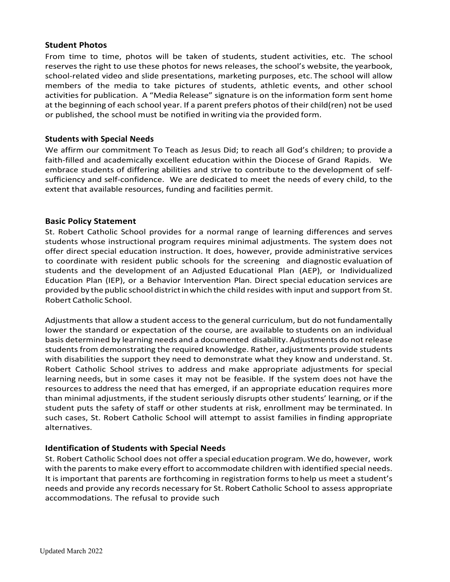#### **Student Photos**

From time to time, photos will be taken of students, student activities, etc. The school reserves the right to use these photos for news releases, the school's website, the yearbook, school-related video and slide presentations, marketing purposes, etc. The school will allow members of the media to take pictures of students, athletic events, and other school activities for publication. A "Media Release" signature is on the information form sent home at the beginning of each school year. If a parent prefers photos of their child(ren) not be used or published, the school must be notified in writing via the provided form.

### **Students with Special Needs**

We affirm our commitment To Teach as Jesus Did; to reach all God's children; to provide a faith-filled and academically excellent education within the Diocese of Grand Rapids. We embrace students of differing abilities and strive to contribute to the development of selfsufficiency and self-confidence. We are dedicated to meet the needs of every child, to the extent that available resources, funding and facilities permit.

#### **Basic Policy Statement**

St. Robert Catholic School provides for a normal range of learning differences and serves students whose instructional program requires minimal adjustments. The system does not offer direct special education instruction. It does, however, provide administrative services to coordinate with resident public schools for the screening and diagnostic evaluation of students and the development of an Adjusted Educational Plan (AEP), or Individualized Education Plan (IEP), or a Behavior Intervention Plan. Direct special education services are provided by the public school district in which the child resides with input and support from St. Robert Catholic School.

Adjustments that allow a student access to the general curriculum, but do not fundamentally lower the standard or expectation of the course, are available to students on an individual basis determined by learning needs and a documented disability. Adjustments do not release students from demonstrating the required knowledge. Rather, adjustments provide students with disabilities the support they need to demonstrate what they know and understand. St. Robert Catholic School strives to address and make appropriate adjustments for special learning needs, but in some cases it may not be feasible. If the system does not have the resourcesto address the need that has emerged, if an appropriate education requires more than minimal adjustments, if the student seriously disrupts other students' learning, or if the student puts the safety of staff or other students at risk, enrollment may be terminated. In such cases, St. Robert Catholic School will attempt to assist families in finding appropriate alternatives.

# **Identification of Students with Special Needs**

St. Robert Catholic School does not offer a special education program.We do, however, work with the parents to make every effort to accommodate children with identified special needs. It is important that parents are forthcoming in registration forms to help us meet a student's needs and provide any records necessary for St. Robert Catholic School to assess appropriate accommodations. The refusal to provide such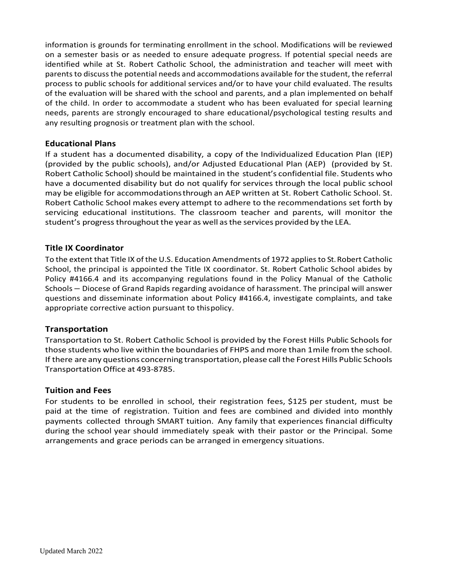information is grounds for terminating enrollment in the school. Modifications will be reviewed on a semester basis or as needed to ensure adequate progress. If potential special needs are identified while at St. Robert Catholic School, the administration and teacher will meet with parents to discuss the potential needs and accommodations available for the student, the referral process to public schools for additional services and/or to have your child evaluated. The results of the evaluation will be shared with the school and parents, and a plan implemented on behalf of the child. In order to accommodate a student who has been evaluated for special learning needs, parents are strongly encouraged to share educational/psychological testing results and any resulting prognosis or treatment plan with the school.

#### **Educational Plans**

If a student has a documented disability, a copy of the Individualized Education Plan (IEP) (provided by the public schools), and/or Adjusted Educational Plan (AEP) (provided by St. Robert Catholic School) should be maintained in the student's confidential file. Students who have a documented disability but do not qualify for services through the local public school may be eligible for accommodationsthrough an AEP written at St. Robert Catholic School. St. Robert Catholic School makes every attempt to adhere to the recommendations set forth by servicing educational institutions. The classroom teacher and parents, will monitor the student's progress throughout the year as well as the services provided by the LEA.

#### **Title IX Coordinator**

To the extent that Title IX of the U.S. Education Amendments of 1972 applies to St.Robert Catholic School, the principal is appointed the Title IX coordinator. St. Robert Catholic School abides by Policy #4166.4 and its accompanying regulations found in the Policy Manual of the Catholic Schools – Diocese of Grand Rapids regarding avoidance of harassment. The principal will answer questions and disseminate information about Policy #4166.4, investigate complaints, and take appropriate corrective action pursuant to thispolicy.

# **Transportation**

Transportation to St. Robert Catholic School is provided by the Forest Hills Public Schools for those students who live within the boundaries of FHPS and more than 1mile from the school. If there are any questions concerning transportation, please call the Forest Hills Public Schools Transportation Office at 493-8785.

#### **Tuition and Fees**

For students to be enrolled in school, their registration fees, \$125 per student, must be paid at the time of registration. Tuition and fees are combined and divided into monthly payments collected through SMART tuition. Any family that experiences financial difficulty during the school year should immediately speak with their pastor or the Principal. Some arrangements and grace periods can be arranged in emergency situations.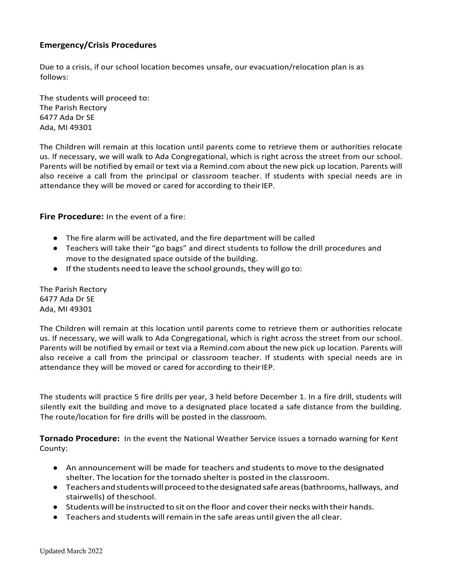# **Emergency/Crisis Procedures**

Due to a crisis, if our school location becomes unsafe, our evacuation/relocation plan is as follows:

The students will proceed to: The Parish Rectory 6477 Ada Dr SE Ada, MI 49301

The Children will remain at this location until parents come to retrieve them or authorities relocate us. If necessary, we will walk to Ada Congregational, which is right across the street from our school. Parents will be notified by email or text via a Remind.com about the new pick up location. Parents will also receive a call from the principal or classroom teacher. If students with special needs are in attendance they will be moved or cared for according to their IEP.

**Fire Procedure:** In the event of a fire:

- **●** The fire alarm will be activated, and the fire department will be called
- **●** Teachers will take their "go bags" and direct students to follow the drill procedures and move to the designated space outside of the building.
- **•** If the students need to leave the school grounds, they will go to:

The Parish Rectory 6477 Ada Dr SE Ada, MI 49301

The Children will remain at this location until parents come to retrieve them or authorities relocate us. If necessary, we will walk to Ada Congregational, which is right across the street from our school. Parents will be notified by email or text via a Remind.com about the new pick up location. Parents will also receive a call from the principal or classroom teacher. If students with special needs are in attendance they will be moved or cared for according to their IEP.

The students will practice 5 fire drills per year, 3 held before December 1. In a fire drill, students will silently exit the building and move to a designated place located a safe distance from the building. The route/location for fire drills will be posted in the classroom.

**Tornado Procedure:** In the event the National Weather Service issues a tornado warning for Kent County:

- An announcement will be made for teachers and students to move to the designated shelter. The location forthe tornado shelteris posted in the classroom.
- Teachers and students will proceed to the designated safe areas (bathrooms, hallways, and stairwells) of theschool.
- Students will be instructed to sit on the floor and covertheir necks with their hands.
- Teachers and students will remain in the safe areas until given the all clear.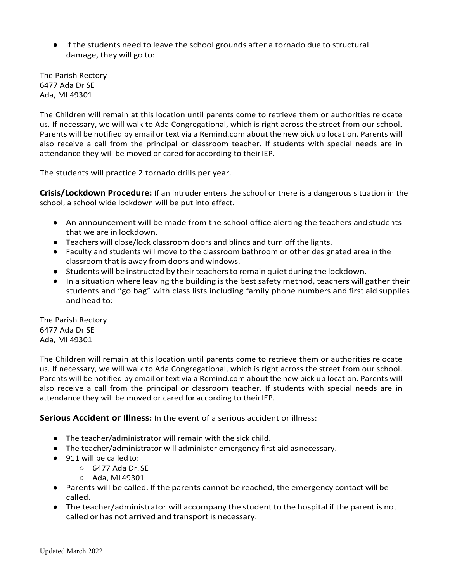**●** If the students need to leave the school grounds after a tornado due to structural damage, they will go to:

The Parish Rectory 6477 Ada Dr SE Ada, MI 49301

The Children will remain at this location until parents come to retrieve them or authorities relocate us. If necessary, we will walk to Ada Congregational, which is right across the street from our school. Parents will be notified by email or text via a Remind.com about the new pick up location. Parents will also receive a call from the principal or classroom teacher. If students with special needs are in attendance they will be moved or cared for according to their IEP.

The students will practice 2 tornado drills per year.

**Crisis/Lockdown Procedure:** If an intruder enters the school or there is a dangerous situation in the school, a school wide lockdown will be put into effect.

- An announcement will be made from the school office alerting the teachers and students that we are in lockdown.
- Teachers will close/lock classroom doors and blinds and turn off the lights.
- Faculty and students will move to the classroom bathroom or other designated area in the classroom that is away from doors and windows.
- Students will be instructed by theirteachersto remain quiet during the lockdown.
- In a situation where leaving the building is the best safety method, teachers will gather their students and "go bag" with class lists including family phone numbers and first aid supplies and head to:

The Parish Rectory 6477 Ada Dr SE Ada, MI 49301

The Children will remain at this location until parents come to retrieve them or authorities relocate us. If necessary, we will walk to Ada Congregational, which is right across the street from our school. Parents will be notified by email or text via a Remind.com about the new pick up location. Parents will also receive a call from the principal or classroom teacher. If students with special needs are in attendance they will be moved or cared for according to their IEP.

**Serious Accident or Illness:** In the event of a serious accident or illness:

- The teacher/administrator will remain with the sick child.
- The teacher/administrator will administer emergency first aid asnecessary.
- 911 will be called to:
	- 6477 Ada Dr. SE
	- Ada, MI 49301
- Parents will be called. If the parents cannot be reached, the emergency contact will be called.
- The teacher/administrator will accompany the student to the hospital if the parent is not called or has not arrived and transport is necessary.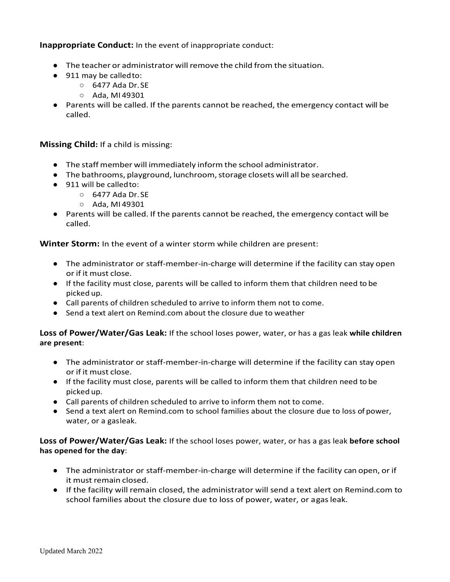**Inappropriate Conduct:** In the event of inappropriate conduct:

- The teacher or administrator will remove the child from the situation.
- 911 may be called to:
	- 6477 Ada Dr. SE
	- Ada, MI 49301
- Parents will be called. If the parents cannot be reached, the emergency contact will be called.

**Missing Child:** If a child is missing:

- The staff member will immediately inform the school administrator.
- The bathrooms, playground, lunchroom,storage closets will all be searched.
- 911 will be called to:
	- 6477 Ada Dr. SE
	- Ada, MI 49301
- Parents will be called. If the parents cannot be reached, the emergency contact will be called.

**Winter Storm:** In the event of a winter storm while children are present:

- The administrator or staff-member-in-charge will determine if the facility can stay open or if it must close.
- If the facility must close, parents will be called to inform them that children need to be picked up.
- Call parents of children scheduled to arrive to inform them not to come.
- Send a text alert on Remind.com about the closure due to weather

**Loss of Power/Water/Gas Leak:** If the school loses power, water, or has a gas leak **while children are present**:

- The administrator or staff-member-in-charge will determine if the facility can stay open or if it must close.
- If the facility must close, parents will be called to inform them that children need to be picked up.
- Call parents of children scheduled to arrive to inform them not to come.
- Send a text alert on Remind.com to school families about the closure due to loss of power, water, or a gasleak.

**Loss of Power/Water/Gas Leak:** If the school loses power, water, or has a gas leak **before school has opened for the day**:

- The administrator or staff-member-in-charge will determine if the facility can open, or if it must remain closed.
- If the facility will remain closed, the administrator will send a text alert on Remind.com to school families about the closure due to loss of power, water, or agas leak.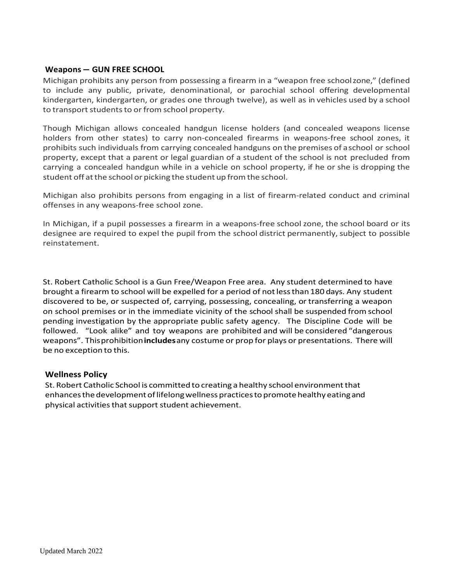#### **Weapons – GUN FREE SCHOOL**

Michigan prohibits any person from possessing a firearm in a "weapon free schoolzone," (defined to include any public, private, denominational, or parochial school offering developmental kindergarten, kindergarten, or grades one through twelve), as well as in vehicles used by a school to transport students to or from school property.

Though Michigan allows concealed handgun license holders (and concealed weapons license holders from other states) to carry non-concealed firearms in weapons-free school zones, it prohibits such individuals from carrying concealed handguns on the premises of a school or school property, except that a parent or legal guardian of a student of the school is not precluded from carrying a concealed handgun while in a vehicle on school property, if he or she is dropping the student off at the school or picking the student up from the school.

Michigan also prohibits persons from engaging in a list of firearm-related conduct and criminal offenses in any weapons-free school zone.

In Michigan, if a pupil possesses a firearm in a weapons-free school zone, the school board or its designee are required to expel the pupil from the school district permanently, subject to possible reinstatement.

St. Robert Catholic School is a Gun Free/Weapon Free area. Any student determined to have brought a firearm to school will be expelled for a period of notlessthan 180 days. Any student discovered to be, or suspected of, carrying, possessing, concealing, or transferring a weapon on school premises or in the immediate vicinity of the school shall be suspended from school pending investigation by the appropriate public safety agency. The Discipline Code will be followed. "Look alike" and toy weapons are prohibited and will be considered "dangerous weapons". Thisprohibition**includes**any costume or prop for plays or presentations. There will be no exception to this.

#### **Wellness Policy**

St. Robert Catholic School is committed to creating a healthy school environmentthat enhances the development of lifelong wellness practices to promote healthy eating and physical activities that support student achievement.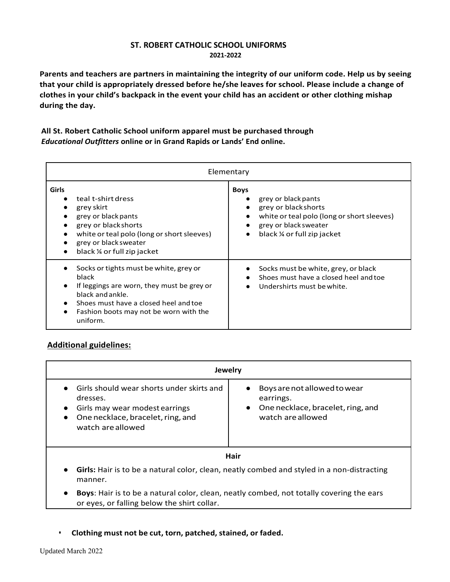### **ST. ROBERT CATHOLIC SCHOOL UNIFORMS 2021-2022**

**Parents and teachers are partners in maintaining the integrity of our uniform code. Help us by seeing that your child is appropriately dressed before he/she leaves for school. Please include a change of clothes in your child's backpack in the event your child has an accident or other clothing mishap during the day.**

# **All St. Robert Catholic School uniform apparel must be purchased through** *Educational Outfitters* **online or in Grand Rapids or Lands' End online.**

| Elementary                                                                                                                                                                                                       |                                                                                                                                                                                                                                  |  |  |  |  |
|------------------------------------------------------------------------------------------------------------------------------------------------------------------------------------------------------------------|----------------------------------------------------------------------------------------------------------------------------------------------------------------------------------------------------------------------------------|--|--|--|--|
| <b>Girls</b><br>teal t-shirt dress<br>grey skirt<br>grey or black pants<br>grey or black shorts<br>white or teal polo (long or short sleeves)<br>grey or black sweater<br>black $\frac{1}{4}$ or full zip jacket | <b>Boys</b><br>grey or black pants<br>$\bullet$<br>grey or black shorts<br>$\bullet$<br>white or teal polo (long or short sleeves)<br>$\bullet$<br>grey or black sweater<br>$\bullet$<br>black ¼ or full zip jacket<br>$\bullet$ |  |  |  |  |
| Socks or tights must be white, grey or<br>black<br>If leggings are worn, they must be grey or<br>black and ankle.<br>Shoes must have a closed heel and toe<br>Fashion boots may not be worn with the<br>uniform. | Socks must be white, grey, or black<br>$\bullet$<br>Shoes must have a closed heel and toe<br>$\bullet$<br>Undershirts must be white.<br>$\bullet$                                                                                |  |  |  |  |

# **Additional guidelines:**

| <b>Jewelry</b>                                                                                                                                                 |                                                                                                       |  |  |  |  |
|----------------------------------------------------------------------------------------------------------------------------------------------------------------|-------------------------------------------------------------------------------------------------------|--|--|--|--|
| Girls should wear shorts under skirts and<br>dresses.<br>Girls may wear modest earrings<br>$\bullet$<br>One necklace, bracelet, ring, and<br>watch are allowed | Boys are not allowed to wear<br>earrings.<br>• One necklace, bracelet, ring, and<br>watch are allowed |  |  |  |  |
| Hair                                                                                                                                                           |                                                                                                       |  |  |  |  |
| Girls: Hair is to be a natural color, clean, neatly combed and styled in a non-distracting<br>manner.                                                          |                                                                                                       |  |  |  |  |

- **Boys**: Hair is to be a natural color, clean, neatly combed, not totally covering the ears or eyes, or falling below the shirt collar.
- **Clothing must not be cut, torn, patched, stained, or faded.**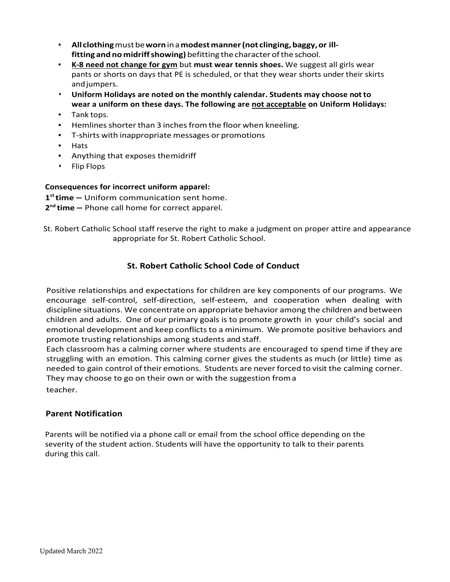- **All clothing**mustbe**worn**in a **modestmanner(not clinging,baggy,or illfitting and no midriffshowing)** befitting the character ofthe school.
- **K-8 need not change for gym** but **must wear tennis shoes.** We suggest all girls wear pants or shorts on days that PE is scheduled, or that they wear shorts under their skirts and jumpers.
- **Uniform Holidays are noted on the monthly calendar. Students may choose not to wear a uniform on these days. The following are not acceptable on Uniform Holidays:**
- Tank tops.
- Hemlines shorter than 3 inches from the floor when kneeling.
- T-shirts with inappropriate messages or promotions
- Hats
- Anything that exposes themidriff
- Flip Flops

# **Consequences for incorrect uniform apparel:**

**1st time –** Uniform communication sent home.

- **2nd time** Phone call home for correct apparel.
- St. Robert Catholic School staff reserve the right to make a judgment on proper attire and appearance appropriate for St. Robert Catholic School.

# **St. Robert Catholic School Code of Conduct**

Positive relationships and expectations for children are key components of our programs. We encourage self-control, self-direction, self-esteem, and cooperation when dealing with discipline situations. We concentrate on appropriate behavior among the children andbetween children and adults. One of our primary goals is to promote growth in your child's social and emotional development and keep conflicts to a minimum. We promote positive behaviors and promote trusting relationships among students and staff.

Each classroom has a calming corner where students are encouraged to spend time if they are struggling with an emotion. This calming corner gives the students as much (or little) time as needed to gain control of their emotions. Students are neverforced to visit the calming corner. They may choose to go on their own or with the suggestion from a teacher.

# **Parent Notification**

Parents will be notified via a phone call or email from the school office depending on the severity of the student action. Students will have the opportunity to talk to their parents during this call.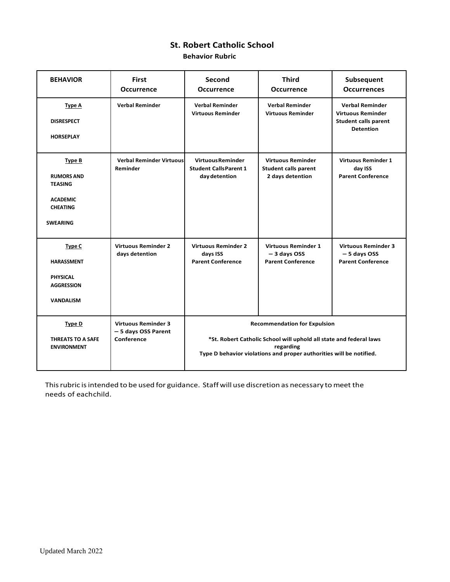# **St. Robert Catholic School**

**Behavior Rubric**

| <b>BEHAVIOR</b>                                                                                               | <b>First</b><br><b>Occurrence</b>                               | Second<br><b>Occurrence</b>                                                                                                                                                                   | <b>Third</b><br><b>Occurrence</b>                                           | Subsequent<br><b>Occurrences</b>                                                                      |
|---------------------------------------------------------------------------------------------------------------|-----------------------------------------------------------------|-----------------------------------------------------------------------------------------------------------------------------------------------------------------------------------------------|-----------------------------------------------------------------------------|-------------------------------------------------------------------------------------------------------|
| <b>Type A</b><br><b>DISRESPECT</b><br><b>HORSEPLAY</b>                                                        | <b>Verbal Reminder</b>                                          | <b>Verbal Reminder</b><br><b>Virtuous Reminder</b>                                                                                                                                            | <b>Verbal Reminder</b><br><b>Virtuous Reminder</b>                          | <b>Verbal Reminder</b><br><b>Virtuous Reminder</b><br><b>Student calls parent</b><br><b>Detention</b> |
| <b>Type B</b><br><b>RUMORS AND</b><br><b>TEASING</b><br><b>ACADEMIC</b><br><b>CHEATING</b><br><b>SWEARING</b> | <b>Verbal Reminder Virtuousl</b><br>Reminder                    | <b>VirtuousReminder</b><br><b>Student Calls Parent 1</b><br>day detention                                                                                                                     | <b>Virtuous Reminder</b><br><b>Student calls parent</b><br>2 days detention | <b>Virtuous Reminder 1</b><br>day ISS<br><b>Parent Conference</b>                                     |
| Type C<br><b>HARASSMENT</b><br><b>PHYSICAL</b><br><b>AGGRESSION</b><br><b>VANDALISM</b>                       | <b>Virtuous Reminder 2</b><br>days detention                    | <b>Virtuous Reminder 2</b><br>days ISS<br><b>Parent Conference</b>                                                                                                                            | <b>Virtuous Reminder 1</b><br>$-3$ days OSS<br><b>Parent Conference</b>     | <b>Virtuous Reminder 3</b><br>$-5$ days OSS<br><b>Parent Conference</b>                               |
| <b>Type D</b><br><b>THREATS TO A SAFE</b><br><b>ENVIRONMENT</b>                                               | <b>Virtuous Reminder 3</b><br>- 5 days OSS Parent<br>Conference | <b>Recommendation for Expulsion</b><br>*St. Robert Catholic School will uphold all state and federal laws<br>regarding<br>Type D behavior violations and proper authorities will be notified. |                                                                             |                                                                                                       |

This rubric is intended to be used for guidance. Staff will use discretion as necessary to meet the needs of eachchild.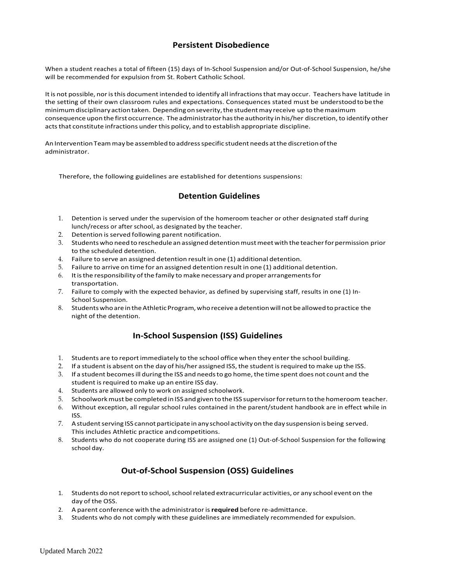#### **Persistent Disobedience**

When a student reaches a total of fifteen (15) days of In-School Suspension and/or Out-of-School Suspension, he/she will be recommended for expulsion from St. Robert Catholic School.

It is not possible, nor is this document intended to identify all infractions that may occur. Teachers have latitude in the setting of their own classroom rules and expectations. Consequences stated must be understoodto be the minimumdisciplinary actiontaken. Dependingonseverity,the studentmay receive up to themaximum consequence upon the first occurrence. The administrator has the authority in his/her discretion, to identify other acts that constitute infractions under this policy, and to establish appropriate discipline.

An Intervention Team may be assembled to address specific student needs at the discretion of the administrator.

Therefore, the following guidelines are established for detentions suspensions:

#### **Detention Guidelines**

- 1. Detention is served under the supervision of the homeroom teacher or other designated staff during lunch/recess or after school, as designated by the teacher.
- 2. Detention is served following parent notification.
- 3. Studentswho need to reschedule an assigned detentionmustmeetwith the teacherforpermission prior to the scheduled detention.
- 4. Failure to serve an assigned detention result in one (1) additional detention.
- 5. Failure to arrive on time for an assigned detention result in one (1) additional detention.
- 6. Itisthe responsibility ofthe family to make necessary and proper arrangementsfor transportation.
- 7. Failure to comply with the expected behavior, as defined by supervising staff, results in one (1) In-School Suspension.
- 8. Students who are in the Athletic Program, who receive a detention will not be allowed to practice the night of the detention.

# **In-School Suspension (ISS) Guidelines**

- 1. Students are to reportimmediately to the school office when they enter the school building.
- 2. If a student is absent on the day of his/her assigned ISS, the student is required to make up the ISS.
- 3. If a student becomesill during the ISS and needsto go home,the time spent does not count and the student is required to make up an entire ISS day.
- 4. Students are allowed only to work on assigned schoolwork.
- 5. Schoolworkmust be completed in ISS and given to the ISS supervisorforreturn to the homeroom teacher.
- 6. Without exception, all regular school rules contained in the parent/student handbook are in effect while in ISS.
- 7. A student serving ISS cannot participate in any school activity on the day suspension is being served. This includes Athletic practice andcompetitions.
- 8. Students who do not cooperate during ISS are assigned one (1) Out-of-School Suspension for the following school day.

# **Out-of-School Suspension (OSS) Guidelines**

- 1. Students do not report to school, school related extracurricular activities, or any school event on the day of the OSS.
- 2. A parent conference with the administratoris**required** before re-admittance.
- 3. Students who do not comply with these guidelines are immediately recommended for expulsion.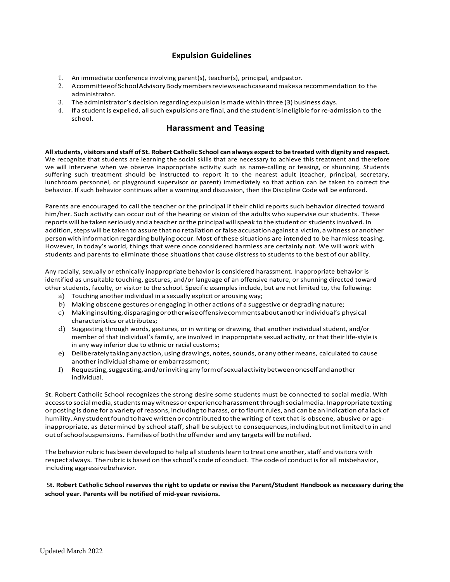### **Expulsion Guidelines**

- 1. An immediate conference involving parent(s), teacher(s), principal, andpastor.
- 2. A committeeofSchoolAdvisory Body membersreviewseachcaseandmakes a recommendation to the administrator.
- 3. The administrator's decision regarding expulsion is made within three (3) business days.
- 4. If a student is expelled, allsuch expulsions are final, and the student isineligible forre-admission to the school.

#### **Harassment and Teasing**

**All students, visitors and staff of St. Robert Catholic School can always expect to be treated with dignity and respect.** We recognize that students are learning the social skills that are necessary to achieve this treatment and therefore we will intervene when we observe inappropriate activity such as name-calling or teasing, or shunning. Students suffering such treatment should be instructed to report it to the nearest adult (teacher, principal, secretary, lunchroom personnel, or playground supervisor or parent) immediately so that action can be taken to correct the behavior. If such behavior continues after a warning and discussion, then the Discipline Code will be enforced.

Parents are encouraged to call the teacher or the principal if their child reports such behavior directed toward him/her. Such activity can occur out of the hearing or vision of the adults who supervise our students. These reports will be taken seriously and a teacher orthe principal willspeak to the student or studentsinvolved. In addition, steps will be taken to assure that no retaliation or false accusation against a victim, a witness or another person with information regarding bullying occur. Most of these situations are intended to be harmless teasing. However, in today's world, things that were once considered harmless are certainly not. We will work with students and parents to eliminate those situations that cause distress to students to the best of our ability.

Any racially, sexually or ethnically inappropriate behavior is considered harassment. Inappropriate behavior is identified as unsuitable touching, gestures, and/or language of an offensive nature, or shunning directed toward other students, faculty, or visitor to the school. Specific examples include, but are not limited to, the following:

- a) Touching another individual in a sexually explicit or arousing way;
- b) Making obscene gestures or engaging in other actions of a suggestive or degrading nature;
- c) Makinginsulting,disparagingorotherwiseoffensivecommentsaboutanotherindividual's physical characteristics orattributes;
- d) Suggesting through words, gestures, or in writing or drawing, that another individual student, and/or member of that individual's family, are involved in inappropriate sexual activity, or that their life-style is in any way inferior due to ethnic or racial customs;
- e) Deliberately taking any action, using drawings, notes,sounds, or any othermeans, calculated to cause another individual shame or embarrassment;
- f) Requesting,suggesting,and/orinvitinganyformofsexualactivitybetweenoneselfandanother individual.

St. Robert Catholic School recognizes the strong desire some students must be connected to social media.With access to social media, students may witness or experience harassment through social media. Inappropriate texting or posting is done for a variety ofreasons, including to harass, orto flauntrules, and can be an indication of a lack of humility. Any student found to have written or contributed to the writing of text that is obscene, abusive or ageinappropriate, as determined by school staff, shall be subject to consequences, including but not limited to in and out ofschoolsuspensions. Families of both the offender and any targets will be notified.

The behavior rubric has been developed to help all students learn to treat one another, staff and visitors with respect always. The rubric is based on the school's code of conduct. The code of conductisfor all misbehavior, including aggressivebehavior.

S**t. Robert Catholic School reserves the right to update or revise the Parent/Student Handbook as necessary during the school year. Parents will be notified of mid-year revisions.**